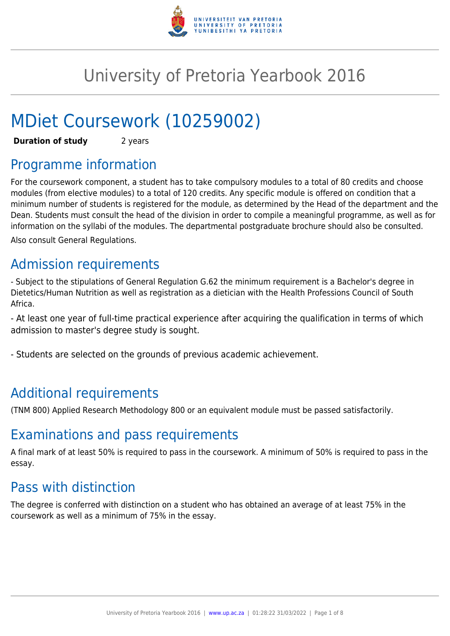

# University of Pretoria Yearbook 2016

# MDiet Coursework (10259002)

**Duration of study** 2 years

# Programme information

For the coursework component, a student has to take compulsory modules to a total of 80 credits and choose modules (from elective modules) to a total of 120 credits. Any specific module is offered on condition that a minimum number of students is registered for the module, as determined by the Head of the department and the Dean. Students must consult the head of the division in order to compile a meaningful programme, as well as for information on the syllabi of the modules. The departmental postgraduate brochure should also be consulted. Also consult General Regulations.

# Admission requirements

- Subject to the stipulations of General Regulation G.62 the minimum requirement is a Bachelor's degree in Dietetics/Human Nutrition as well as registration as a dietician with the Health Professions Council of South Africa.

- At least one year of full-time practical experience after acquiring the qualification in terms of which admission to master's degree study is sought.

- Students are selected on the grounds of previous academic achievement.

# Additional requirements

(TNM 800) Applied Research Methodology 800 or an equivalent module must be passed satisfactorily.

# Examinations and pass requirements

A final mark of at least 50% is required to pass in the coursework. A minimum of 50% is required to pass in the essay.

# Pass with distinction

The degree is conferred with distinction on a student who has obtained an average of at least 75% in the coursework as well as a minimum of 75% in the essay.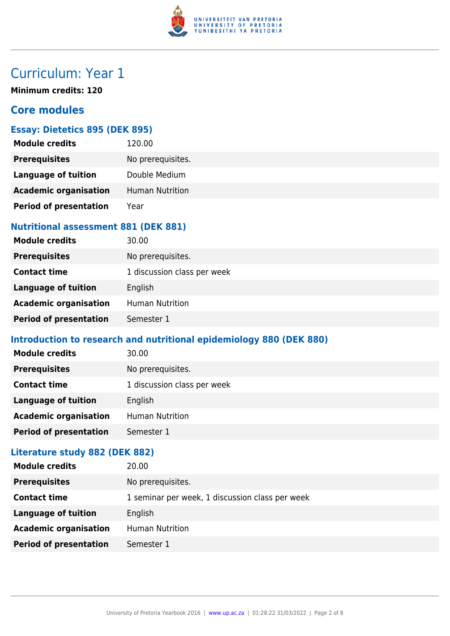

# Curriculum: Year 1

**Minimum credits: 120**

# **Core modules**

# **Essay: Dietetics 895 (DEK 895)**

| <b>Module credits</b>         | 120.00                 |
|-------------------------------|------------------------|
| <b>Prerequisites</b>          | No prerequisites.      |
| <b>Language of tuition</b>    | Double Medium          |
| <b>Academic organisation</b>  | <b>Human Nutrition</b> |
| <b>Period of presentation</b> | Year                   |

### **Nutritional assessment 881 (DEK 881)**

| <b>Module credits</b>         | 30.00                       |
|-------------------------------|-----------------------------|
| <b>Prerequisites</b>          | No prerequisites.           |
| <b>Contact time</b>           | 1 discussion class per week |
| Language of tuition           | English                     |
| <b>Academic organisation</b>  | <b>Human Nutrition</b>      |
| <b>Period of presentation</b> | Semester 1                  |

## **Introduction to research and nutritional epidemiology 880 (DEK 880)**

| <b>Module credits</b>         | 30.00                       |
|-------------------------------|-----------------------------|
| <b>Prerequisites</b>          | No prerequisites.           |
| <b>Contact time</b>           | 1 discussion class per week |
| <b>Language of tuition</b>    | English                     |
| <b>Academic organisation</b>  | <b>Human Nutrition</b>      |
| <b>Period of presentation</b> | Semester 1                  |
|                               |                             |

# **Literature study 882 (DEK 882)**

| <b>Module credits</b>         | 20.00                                           |
|-------------------------------|-------------------------------------------------|
| <b>Prerequisites</b>          | No prerequisites.                               |
| <b>Contact time</b>           | 1 seminar per week, 1 discussion class per week |
| <b>Language of tuition</b>    | English                                         |
| <b>Academic organisation</b>  | <b>Human Nutrition</b>                          |
| <b>Period of presentation</b> | Semester 1                                      |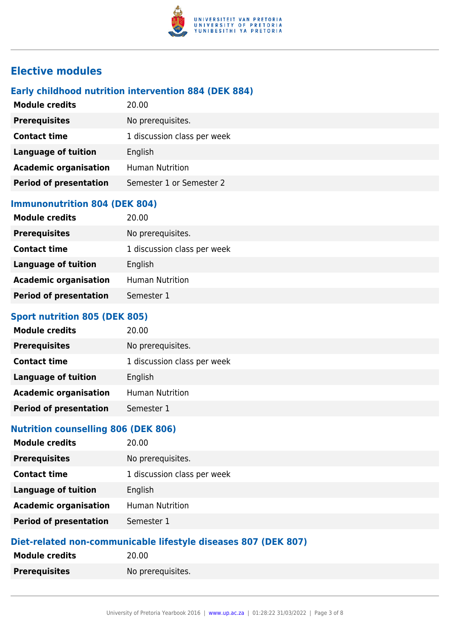

# **Elective modules**

### **Early childhood nutrition intervention 884 (DEK 884)**

| <b>Module credits</b>         | 20.00                       |
|-------------------------------|-----------------------------|
| <b>Prerequisites</b>          | No prerequisites.           |
| <b>Contact time</b>           | 1 discussion class per week |
| <b>Language of tuition</b>    | English                     |
| <b>Academic organisation</b>  | <b>Human Nutrition</b>      |
| <b>Period of presentation</b> | Semester 1 or Semester 2    |
|                               |                             |

### **Immunonutrition 804 (DEK 804)**

| <b>Module credits</b>         | 20.00                       |
|-------------------------------|-----------------------------|
| <b>Prerequisites</b>          | No prerequisites.           |
| <b>Contact time</b>           | 1 discussion class per week |
| <b>Language of tuition</b>    | English                     |
| <b>Academic organisation</b>  | <b>Human Nutrition</b>      |
| <b>Period of presentation</b> | Semester 1                  |

## **Sport nutrition 805 (DEK 805)**

| <b>Module credits</b>         | 20.00                       |
|-------------------------------|-----------------------------|
| <b>Prerequisites</b>          | No prerequisites.           |
| <b>Contact time</b>           | 1 discussion class per week |
| <b>Language of tuition</b>    | English                     |
| <b>Academic organisation</b>  | <b>Human Nutrition</b>      |
| <b>Period of presentation</b> | Semester 1                  |

### **Nutrition counselling 806 (DEK 806)**

| <b>Module credits</b>         | 20.00                       |
|-------------------------------|-----------------------------|
| <b>Prerequisites</b>          | No prerequisites.           |
| <b>Contact time</b>           | 1 discussion class per week |
| <b>Language of tuition</b>    | English                     |
| <b>Academic organisation</b>  | <b>Human Nutrition</b>      |
| <b>Period of presentation</b> | Semester 1                  |
|                               |                             |

### **Diet-related non-communicable lifestyle diseases 807 (DEK 807)**

| <b>Module credits</b> | 20.00             |
|-----------------------|-------------------|
| <b>Prerequisites</b>  | No prerequisites. |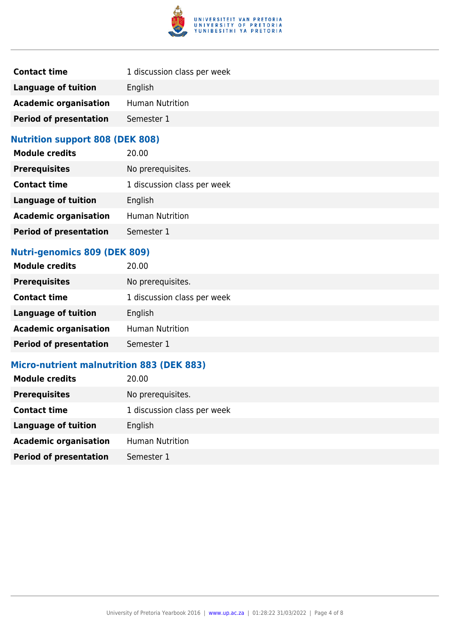

| <b>Contact time</b>           | 1 discussion class per week |
|-------------------------------|-----------------------------|
| Language of tuition           | English                     |
| <b>Academic organisation</b>  | <b>Human Nutrition</b>      |
| <b>Period of presentation</b> | Semester 1                  |

# **Nutrition support 808 (DEK 808)**

| <b>Module credits</b>         | 20.00                       |
|-------------------------------|-----------------------------|
| <b>Prerequisites</b>          | No prerequisites.           |
| <b>Contact time</b>           | 1 discussion class per week |
| <b>Language of tuition</b>    | English                     |
| <b>Academic organisation</b>  | <b>Human Nutrition</b>      |
| <b>Period of presentation</b> | Semester 1                  |

## **Nutri-genomics 809 (DEK 809)**

| <b>Module credits</b>         | 20.00                       |
|-------------------------------|-----------------------------|
| <b>Prerequisites</b>          | No prerequisites.           |
| <b>Contact time</b>           | 1 discussion class per week |
| <b>Language of tuition</b>    | English                     |
| <b>Academic organisation</b>  | <b>Human Nutrition</b>      |
| <b>Period of presentation</b> | Semester 1                  |

# **Micro-nutrient malnutrition 883 (DEK 883)**

| <b>Module credits</b>         | 20.00                       |
|-------------------------------|-----------------------------|
| <b>Prerequisites</b>          | No prerequisites.           |
| <b>Contact time</b>           | 1 discussion class per week |
| <b>Language of tuition</b>    | English                     |
| <b>Academic organisation</b>  | <b>Human Nutrition</b>      |
| <b>Period of presentation</b> | Semester 1                  |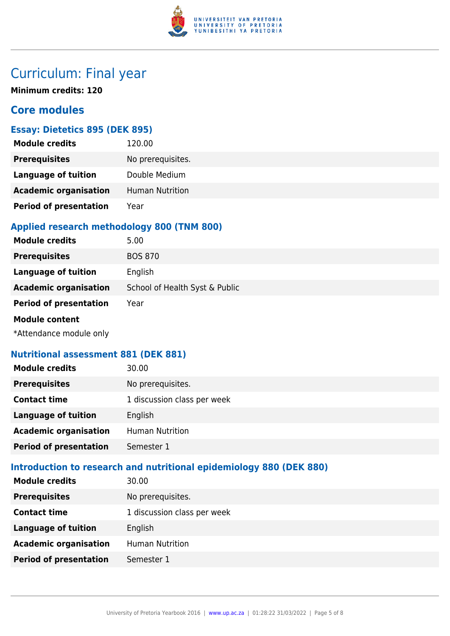

# Curriculum: Final year

**Minimum credits: 120**

# **Core modules**

# **Essay: Dietetics 895 (DEK 895)**

| <b>Module credits</b>         | 120.00                 |
|-------------------------------|------------------------|
| <b>Prerequisites</b>          | No prerequisites.      |
| <b>Language of tuition</b>    | Double Medium          |
| <b>Academic organisation</b>  | <b>Human Nutrition</b> |
| <b>Period of presentation</b> | Year                   |

# **Applied research methodology 800 (TNM 800)**

| <b>Module credits</b>                                                                                                                                                                                                           | 5.00                           |
|---------------------------------------------------------------------------------------------------------------------------------------------------------------------------------------------------------------------------------|--------------------------------|
| <b>Prerequisites</b>                                                                                                                                                                                                            | <b>BOS 870</b>                 |
| <b>Language of tuition</b>                                                                                                                                                                                                      | English                        |
| <b>Academic organisation</b>                                                                                                                                                                                                    | School of Health Syst & Public |
| <b>Period of presentation</b>                                                                                                                                                                                                   | Year                           |
| <b>Module content</b>                                                                                                                                                                                                           |                                |
| $\sim$ . The contract of the contract of the contract of the contract of the contract of the contract of the contract of the contract of the contract of the contract of the contract of the contract of the contract of the co |                                |

\*Attendance module only

#### **Nutritional assessment 881 (DEK 881)**

| <b>Module credits</b>         | 30.00                       |
|-------------------------------|-----------------------------|
| <b>Prerequisites</b>          | No prerequisites.           |
| <b>Contact time</b>           | 1 discussion class per week |
| <b>Language of tuition</b>    | English                     |
| <b>Academic organisation</b>  | <b>Human Nutrition</b>      |
| <b>Period of presentation</b> | Semester 1                  |

# **Introduction to research and nutritional epidemiology 880 (DEK 880)**

| <b>Module credits</b>         | 30.00                       |
|-------------------------------|-----------------------------|
| <b>Prerequisites</b>          | No prerequisites.           |
| <b>Contact time</b>           | 1 discussion class per week |
| <b>Language of tuition</b>    | English                     |
| <b>Academic organisation</b>  | <b>Human Nutrition</b>      |
| <b>Period of presentation</b> | Semester 1                  |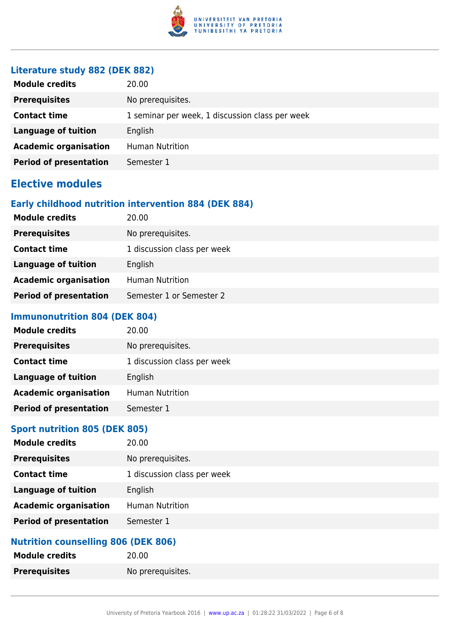

### **Literature study 882 (DEK 882)**

| <b>Module credits</b>         | 20.00                                           |
|-------------------------------|-------------------------------------------------|
| <b>Prerequisites</b>          | No prerequisites.                               |
| <b>Contact time</b>           | 1 seminar per week, 1 discussion class per week |
| Language of tuition           | English                                         |
| <b>Academic organisation</b>  | <b>Human Nutrition</b>                          |
| <b>Period of presentation</b> | Semester 1                                      |

# **Elective modules**

### **Early childhood nutrition intervention 884 (DEK 884)**

| <b>Module credits</b>         | 20.00                       |
|-------------------------------|-----------------------------|
| <b>Prerequisites</b>          | No prerequisites.           |
| <b>Contact time</b>           | 1 discussion class per week |
| Language of tuition           | English                     |
| <b>Academic organisation</b>  | <b>Human Nutrition</b>      |
| <b>Period of presentation</b> | Semester 1 or Semester 2    |

#### **Immunonutrition 804 (DEK 804)**

| <b>Module credits</b>         | 20.00                       |
|-------------------------------|-----------------------------|
| <b>Prerequisites</b>          | No prerequisites.           |
| <b>Contact time</b>           | 1 discussion class per week |
| <b>Language of tuition</b>    | English                     |
| <b>Academic organisation</b>  | <b>Human Nutrition</b>      |
| <b>Period of presentation</b> | Semester 1                  |

### **Sport nutrition 805 (DEK 805)**

| <b>Module credits</b>         | 20.00                       |
|-------------------------------|-----------------------------|
| <b>Prerequisites</b>          | No prerequisites.           |
| <b>Contact time</b>           | 1 discussion class per week |
| <b>Language of tuition</b>    | English                     |
| <b>Academic organisation</b>  | <b>Human Nutrition</b>      |
| <b>Period of presentation</b> | Semester 1                  |
|                               |                             |

#### **Nutrition counselling 806 (DEK 806)**

| <b>Module credits</b> | 20.00             |
|-----------------------|-------------------|
| <b>Prerequisites</b>  | No prerequisites. |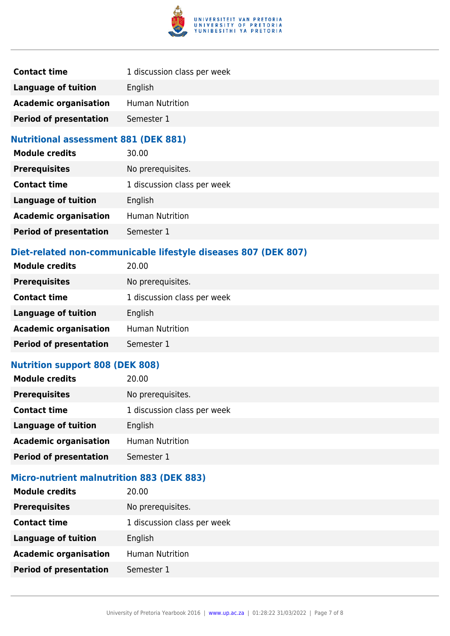

| <b>Contact time</b>           | 1 discussion class per week |
|-------------------------------|-----------------------------|
| Language of tuition           | English                     |
| <b>Academic organisation</b>  | <b>Human Nutrition</b>      |
| <b>Period of presentation</b> | Semester 1                  |

#### **Nutritional assessment 881 (DEK 881)**

| <b>Module credits</b>         | 30.00                       |
|-------------------------------|-----------------------------|
| <b>Prerequisites</b>          | No prerequisites.           |
| <b>Contact time</b>           | 1 discussion class per week |
| <b>Language of tuition</b>    | English                     |
| <b>Academic organisation</b>  | <b>Human Nutrition</b>      |
| <b>Period of presentation</b> | Semester 1                  |

## **Diet-related non-communicable lifestyle diseases 807 (DEK 807)**

| <b>Module credits</b>         | 20.00                       |
|-------------------------------|-----------------------------|
| <b>Prerequisites</b>          | No prerequisites.           |
| <b>Contact time</b>           | 1 discussion class per week |
| <b>Language of tuition</b>    | English                     |
| <b>Academic organisation</b>  | <b>Human Nutrition</b>      |
| <b>Period of presentation</b> | Semester 1                  |
|                               |                             |

# **Nutrition support 808 (DEK 808)**

| <b>Module credits</b>         | 20.00                       |
|-------------------------------|-----------------------------|
| <b>Prerequisites</b>          | No prerequisites.           |
| <b>Contact time</b>           | 1 discussion class per week |
| <b>Language of tuition</b>    | English                     |
| <b>Academic organisation</b>  | Human Nutrition             |
| <b>Period of presentation</b> | Semester 1                  |

## **Micro-nutrient malnutrition 883 (DEK 883)**

| <b>Module credits</b>         | 20.00                       |
|-------------------------------|-----------------------------|
| <b>Prerequisites</b>          | No prerequisites.           |
| <b>Contact time</b>           | 1 discussion class per week |
| <b>Language of tuition</b>    | English                     |
| <b>Academic organisation</b>  | <b>Human Nutrition</b>      |
| <b>Period of presentation</b> | Semester 1                  |